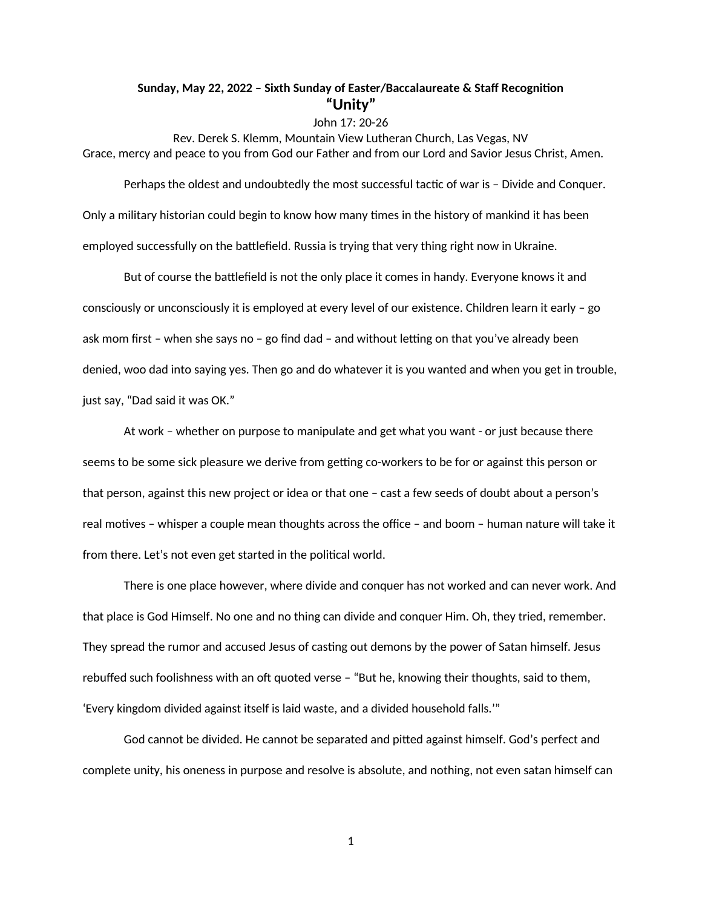## **Sunday, May 22, 2022 – Sixth Sunday of Easter/Baccalaureate & Staff Recognition "Unity"**

## John 17: 20-26

Rev. Derek S. Klemm, Mountain View Lutheran Church, Las Vegas, NV Grace, mercy and peace to you from God our Father and from our Lord and Savior Jesus Christ, Amen.

Perhaps the oldest and undoubtedly the most successful tactic of war is – Divide and Conquer. Only a military historian could begin to know how many times in the history of mankind it has been employed successfully on the battlefield. Russia is trying that very thing right now in Ukraine.

But of course the battlefield is not the only place it comes in handy. Everyone knows it and consciously or unconsciously it is employed at every level of our existence. Children learn it early – go ask mom first – when she says no – go find dad – and without letting on that you've already been denied, woo dad into saying yes. Then go and do whatever it is you wanted and when you get in trouble, just say, "Dad said it was OK."

At work – whether on purpose to manipulate and get what you want - or just because there seems to be some sick pleasure we derive from getting co-workers to be for or against this person or that person, against this new project or idea or that one – cast a few seeds of doubt about a person's real motives – whisper a couple mean thoughts across the office – and boom – human nature will take it from there. Let's not even get started in the political world.

There is one place however, where divide and conquer has not worked and can never work. And that place is God Himself. No one and no thing can divide and conquer Him. Oh, they tried, remember. They spread the rumor and accused Jesus of casting out demons by the power of Satan himself. Jesus rebuffed such foolishness with an oft quoted verse – "But he, knowing their thoughts, said to them, 'Every kingdom divided against itself is laid waste, and a divided household falls.'"

God cannot be divided. He cannot be separated and pitted against himself. God's perfect and complete unity, his oneness in purpose and resolve is absolute, and nothing, not even satan himself can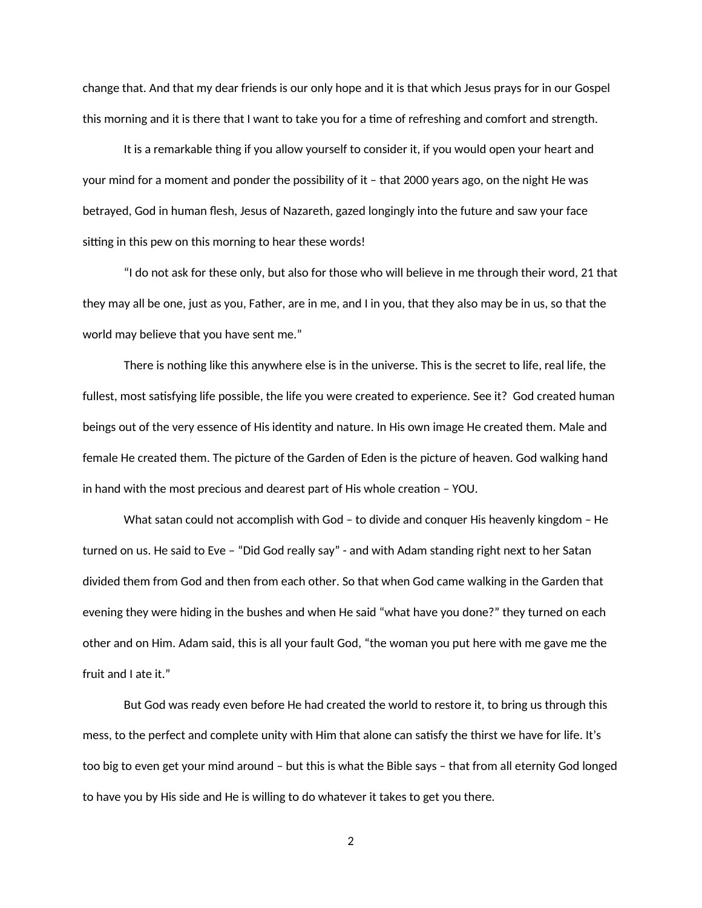change that. And that my dear friends is our only hope and it is that which Jesus prays for in our Gospel this morning and it is there that I want to take you for a time of refreshing and comfort and strength.

It is a remarkable thing if you allow yourself to consider it, if you would open your heart and your mind for a moment and ponder the possibility of it – that 2000 years ago, on the night He was betrayed, God in human flesh, Jesus of Nazareth, gazed longingly into the future and saw your face sitting in this pew on this morning to hear these words!

"I do not ask for these only, but also for those who will believe in me through their word, 21 that they may all be one, just as you, Father, are in me, and I in you, that they also may be in us, so that the world may believe that you have sent me."

There is nothing like this anywhere else is in the universe. This is the secret to life, real life, the fullest, most satisfying life possible, the life you were created to experience. See it? God created human beings out of the very essence of His identity and nature. In His own image He created them. Male and female He created them. The picture of the Garden of Eden is the picture of heaven. God walking hand in hand with the most precious and dearest part of His whole creation – YOU.

What satan could not accomplish with God – to divide and conquer His heavenly kingdom – He turned on us. He said to Eve – "Did God really say" - and with Adam standing right next to her Satan divided them from God and then from each other. So that when God came walking in the Garden that evening they were hiding in the bushes and when He said "what have you done?" they turned on each other and on Him. Adam said, this is all your fault God, "the woman you put here with me gave me the fruit and I ate it."

But God was ready even before He had created the world to restore it, to bring us through this mess, to the perfect and complete unity with Him that alone can satisfy the thirst we have for life. It's too big to even get your mind around – but this is what the Bible says – that from all eternity God longed to have you by His side and He is willing to do whatever it takes to get you there.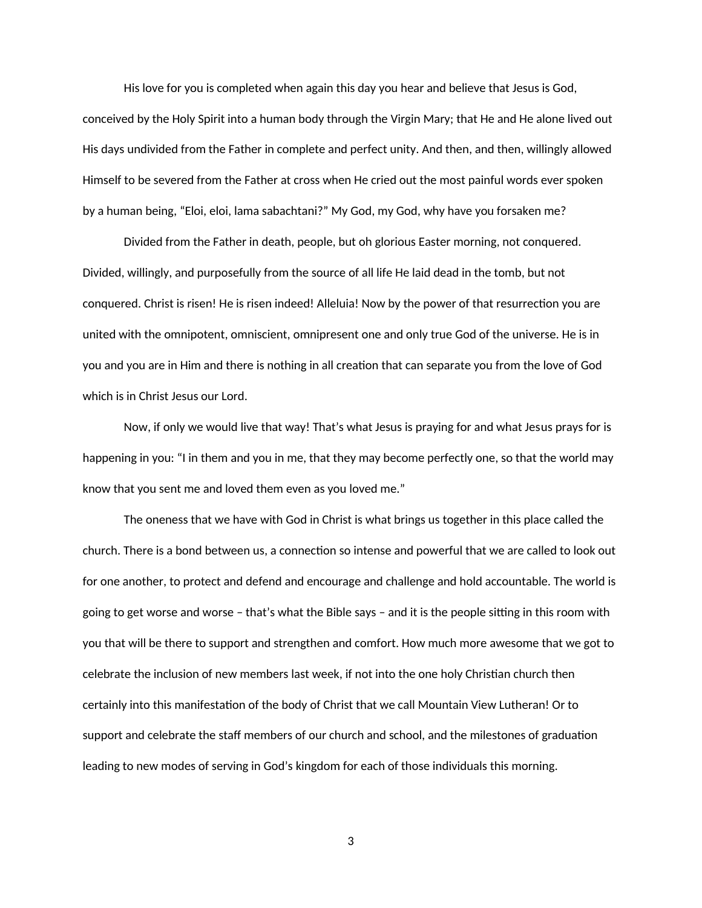His love for you is completed when again this day you hear and believe that Jesus is God, conceived by the Holy Spirit into a human body through the Virgin Mary; that He and He alone lived out His days undivided from the Father in complete and perfect unity. And then, and then, willingly allowed Himself to be severed from the Father at cross when He cried out the most painful words ever spoken by a human being, "Eloi, eloi, lama sabachtani?" My God, my God, why have you forsaken me?

Divided from the Father in death, people, but oh glorious Easter morning, not conquered. Divided, willingly, and purposefully from the source of all life He laid dead in the tomb, but not conquered. Christ is risen! He is risen indeed! Alleluia! Now by the power of that resurrection you are united with the omnipotent, omniscient, omnipresent one and only true God of the universe. He is in you and you are in Him and there is nothing in all creation that can separate you from the love of God which is in Christ Jesus our Lord.

Now, if only we would live that way! That's what Jesus is praying for and what Jesus prays for is happening in you: "I in them and you in me, that they may become perfectly one, so that the world may know that you sent me and loved them even as you loved me."

The oneness that we have with God in Christ is what brings us together in this place called the church. There is a bond between us, a connection so intense and powerful that we are called to look out for one another, to protect and defend and encourage and challenge and hold accountable. The world is going to get worse and worse – that's what the Bible says – and it is the people sitting in this room with you that will be there to support and strengthen and comfort. How much more awesome that we got to celebrate the inclusion of new members last week, if not into the one holy Christian church then certainly into this manifestation of the body of Christ that we call Mountain View Lutheran! Or to support and celebrate the staff members of our church and school, and the milestones of graduation leading to new modes of serving in God's kingdom for each of those individuals this morning.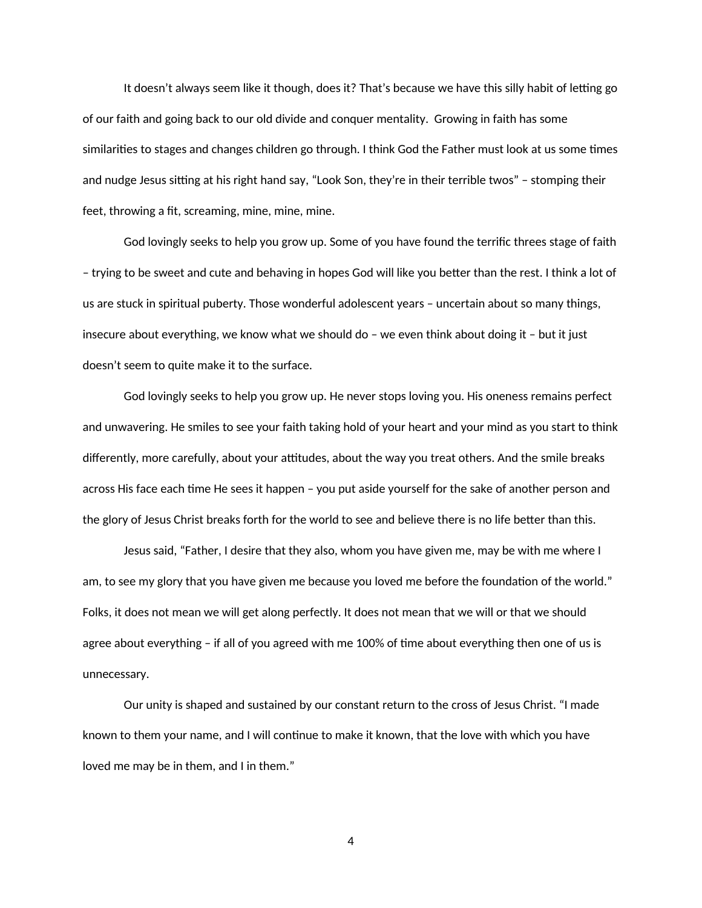It doesn't always seem like it though, does it? That's because we have this silly habit of letting go of our faith and going back to our old divide and conquer mentality. Growing in faith has some similarities to stages and changes children go through. I think God the Father must look at us some times and nudge Jesus sitting at his right hand say, "Look Son, they're in their terrible twos" – stomping their feet, throwing a fit, screaming, mine, mine, mine.

God lovingly seeks to help you grow up. Some of you have found the terrific threes stage of faith – trying to be sweet and cute and behaving in hopes God will like you better than the rest. I think a lot of us are stuck in spiritual puberty. Those wonderful adolescent years – uncertain about so many things, insecure about everything, we know what we should do – we even think about doing it – but it just doesn't seem to quite make it to the surface.

God lovingly seeks to help you grow up. He never stops loving you. His oneness remains perfect and unwavering. He smiles to see your faith taking hold of your heart and your mind as you start to think differently, more carefully, about your attitudes, about the way you treat others. And the smile breaks across His face each time He sees it happen – you put aside yourself for the sake of another person and the glory of Jesus Christ breaks forth for the world to see and believe there is no life better than this.

Jesus said, "Father, I desire that they also, whom you have given me, may be with me where I am, to see my glory that you have given me because you loved me before the foundation of the world." Folks, it does not mean we will get along perfectly. It does not mean that we will or that we should agree about everything – if all of you agreed with me 100% of time about everything then one of us is unnecessary.

Our unity is shaped and sustained by our constant return to the cross of Jesus Christ. "I made known to them your name, and I will continue to make it known, that the love with which you have loved me may be in them, and I in them."